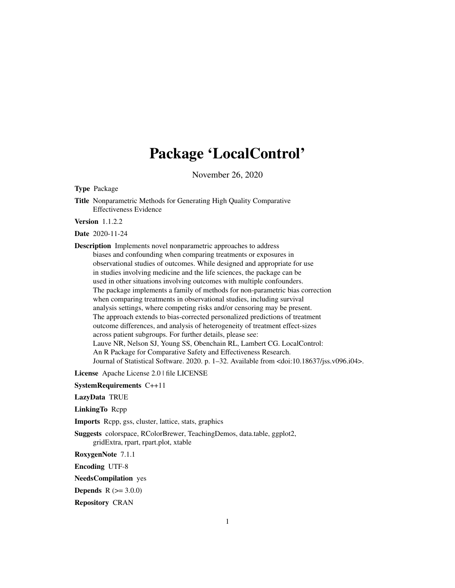# Package 'LocalControl'

November 26, 2020

<span id="page-0-0"></span>Type Package

Title Nonparametric Methods for Generating High Quality Comparative Effectiveness Evidence

Version 1.1.2.2

Date 2020-11-24

Description Implements novel nonparametric approaches to address biases and confounding when comparing treatments or exposures in observational studies of outcomes. While designed and appropriate for use in studies involving medicine and the life sciences, the package can be used in other situations involving outcomes with multiple confounders. The package implements a family of methods for non-parametric bias correction when comparing treatments in observational studies, including survival analysis settings, where competing risks and/or censoring may be present. The approach extends to bias-corrected personalized predictions of treatment outcome differences, and analysis of heterogeneity of treatment effect-sizes across patient subgroups. For further details, please see: Lauve NR, Nelson SJ, Young SS, Obenchain RL, Lambert CG. LocalControl: An R Package for Comparative Safety and Effectiveness Research. Journal of Statistical Software. 2020. p. 1–32. Available from <doi:10.18637/jss.v096.i04>.

License Apache License 2.0 | file LICENSE

SystemRequirements C++11

LazyData TRUE

LinkingTo Rcpp

Imports Rcpp, gss, cluster, lattice, stats, graphics

Suggests colorspace, RColorBrewer, TeachingDemos, data.table, ggplot2, gridExtra, rpart, rpart.plot, xtable

RoxygenNote 7.1.1

Encoding UTF-8

NeedsCompilation yes

**Depends**  $R (= 3.0.0)$ 

Repository CRAN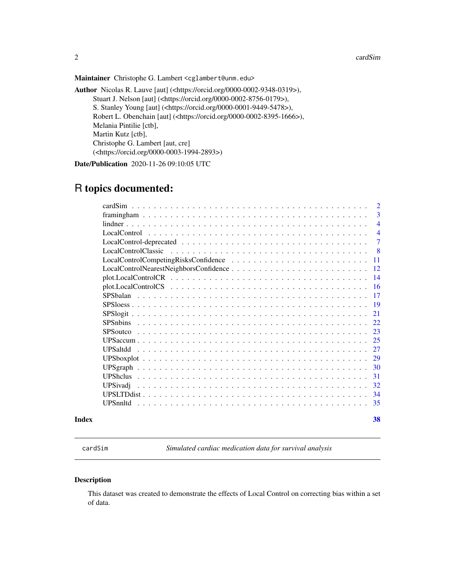2 cardSim

Maintainer Christophe G. Lambert <cglambert@unm.edu>

Author Nicolas R. Lauve [aut] (<https://orcid.org/0000-0002-9348-0319>), Stuart J. Nelson [aut] (<https://orcid.org/0000-0002-8756-0179>), S. Stanley Young [aut] (<https://orcid.org/0000-0001-9449-5478>), Robert L. Obenchain [aut] (<https://orcid.org/0000-0002-8395-1666>), Melania Pintilie [ctb], Martin Kutz [ctb], Christophe G. Lambert [aut, cre] (<https://orcid.org/0000-0003-1994-2893>)

Date/Publication 2020-11-26 09:10:05 UTC

# R topics documented:

| $\overline{2}$        |
|-----------------------|
| 3                     |
| $\overline{4}$        |
| $\overline{4}$        |
| 7                     |
| -8                    |
| 11                    |
| 12                    |
| 14                    |
| 16                    |
| 17                    |
| -19                   |
| 21                    |
| 22.                   |
| 23                    |
| 25                    |
| <b>UPSaltdd</b><br>27 |
| 29                    |
| 30                    |
| 31                    |
| 32<br>UPSivadj        |
| 34                    |
| 35<br>UPSnnltd        |
|                       |

#### **Index** [38](#page-37-0)

cardSim *Simulated cardiac medication data for survival analysis*

#### Description

This dataset was created to demonstrate the effects of Local Control on correcting bias within a set of data.

<span id="page-1-0"></span>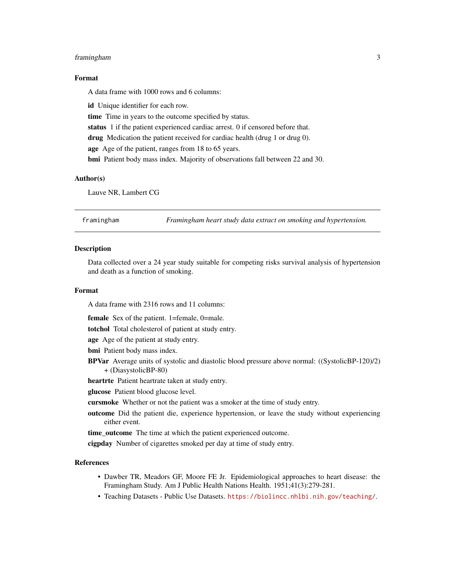# <span id="page-2-0"></span>framingham 3

#### Format

A data frame with 1000 rows and 6 columns:

id Unique identifier for each row. time Time in years to the outcome specified by status. status 1 if the patient experienced cardiac arrest. 0 if censored before that. drug Medication the patient received for cardiac health (drug 1 or drug 0). age Age of the patient, ranges from 18 to 65 years. bmi Patient body mass index. Majority of observations fall between 22 and 30.

#### Author(s)

Lauve NR, Lambert CG

framingham *Framingham heart study data extract on smoking and hypertension.*

#### **Description**

Data collected over a 24 year study suitable for competing risks survival analysis of hypertension and death as a function of smoking.

### Format

A data frame with 2316 rows and 11 columns:

female Sex of the patient. 1=female, 0=male.

totchol Total cholesterol of patient at study entry.

age Age of the patient at study entry.

bmi Patient body mass index.

BPVar Average units of systolic and diastolic blood pressure above normal: ((SystolicBP-120)/2) + (DiasystolicBP-80)

heartrte Patient heartrate taken at study entry.

glucose Patient blood glucose level.

cursmoke Whether or not the patient was a smoker at the time of study entry.

outcome Did the patient die, experience hypertension, or leave the study without experiencing either event.

time\_outcome The time at which the patient experienced outcome.

cigpday Number of cigarettes smoked per day at time of study entry.

#### References

- Dawber TR, Meadors GF, Moore FE Jr. Epidemiological approaches to heart disease: the Framingham Study. Am J Public Health Nations Health. 1951;41(3):279-281.
- Teaching Datasets Public Use Datasets. <https://biolincc.nhlbi.nih.gov/teaching/>.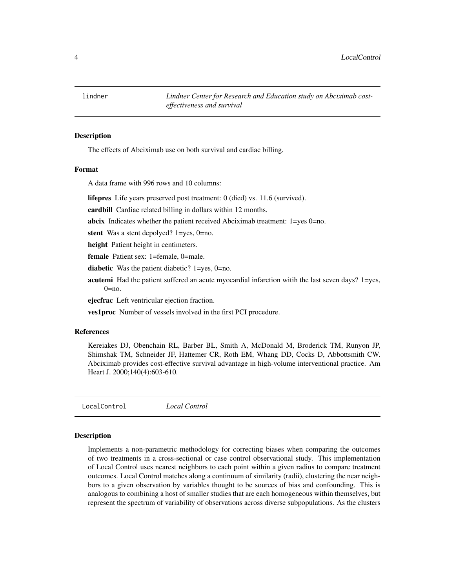<span id="page-3-0"></span>lindner *Lindner Center for Research and Education study on Abciximab costeffectiveness and survival*

#### **Description**

The effects of Abciximab use on both survival and cardiac billing.

#### Format

A data frame with 996 rows and 10 columns:

lifepres Life years preserved post treatment: 0 (died) vs. 11.6 (survived).

cardbill Cardiac related billing in dollars within 12 months.

abcix Indicates whether the patient received Abciximab treatment: 1=yes 0=no.

stent Was a stent depolyed? 1=yes, 0=no.

height Patient height in centimeters.

female Patient sex: 1=female, 0=male.

diabetic Was the patient diabetic? 1=yes, 0=no.

acutemi Had the patient suffered an acute myocardial infarction witih the last seven days? 1=yes,  $0 = no$ .

ejecfrac Left ventricular ejection fraction.

ves1proc Number of vessels involved in the first PCI procedure.

#### References

Kereiakes DJ, Obenchain RL, Barber BL, Smith A, McDonald M, Broderick TM, Runyon JP, Shimshak TM, Schneider JF, Hattemer CR, Roth EM, Whang DD, Cocks D, Abbottsmith CW. Abciximab provides cost-effective survival advantage in high-volume interventional practice. Am Heart J. 2000;140(4):603-610.

<span id="page-3-1"></span>LocalControl *Local Control*

#### Description

Implements a non-parametric methodology for correcting biases when comparing the outcomes of two treatments in a cross-sectional or case control observational study. This implementation of Local Control uses nearest neighbors to each point within a given radius to compare treatment outcomes. Local Control matches along a continuum of similarity (radii), clustering the near neighbors to a given observation by variables thought to be sources of bias and confounding. This is analogous to combining a host of smaller studies that are each homogeneous within themselves, but represent the spectrum of variability of observations across diverse subpopulations. As the clusters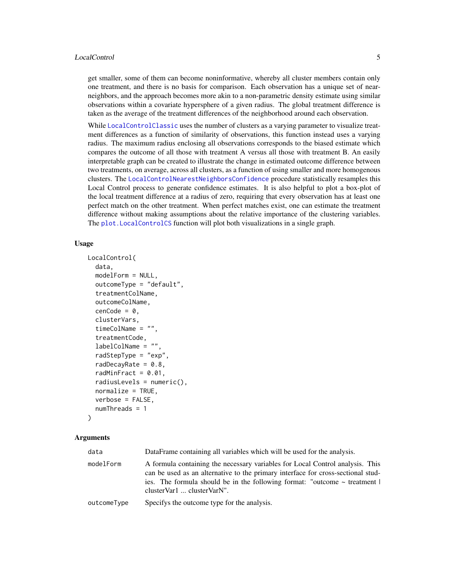#### <span id="page-4-0"></span>LocalControl 5

get smaller, some of them can become noninformative, whereby all cluster members contain only one treatment, and there is no basis for comparison. Each observation has a unique set of nearneighbors, and the approach becomes more akin to a non-parametric density estimate using similar observations within a covariate hypersphere of a given radius. The global treatment difference is taken as the average of the treatment differences of the neighborhood around each observation.

While [LocalControlClassic](#page-7-1) uses the number of clusters as a varying parameter to visualize treatment differences as a function of similarity of observations, this function instead uses a varying radius. The maximum radius enclosing all observations corresponds to the biased estimate which compares the outcome of all those with treatment A versus all those with treatment B. An easily interpretable graph can be created to illustrate the change in estimated outcome difference between two treatments, on average, across all clusters, as a function of using smaller and more homogenous clusters. The [LocalControlNearestNeighborsConfidence](#page-11-1) procedure statistically resamples this Local Control process to generate confidence estimates. It is also helpful to plot a box-plot of the local treatment difference at a radius of zero, requiring that every observation has at least one perfect match on the other treatment. When perfect matches exist, one can estimate the treatment difference without making assumptions about the relative importance of the clustering variables. The [plot.LocalControlCS](#page-15-1) function will plot both visualizations in a single graph.

#### Usage

```
LocalControl(
  data,
  modelForm = NULL,
  outcomeType = "default",
  treatmentColName,
  outcomeColName,
  cenCode = 0,
  clusterVars,
  timeColName = "",
  treatmentCode,
  labelColName = "",
  radStepType = "exp",
  radDecayRate = 0.8,
  radMinFract = 0.01,
  radiusLevels = numeric(),
  normalize = TRUE,
  verbose = FALSE,
  numThreads = 1
```

```
)
```

| data        | DataFrame containing all variables which will be used for the analysis.                                                                                                                                                                                                            |
|-------------|------------------------------------------------------------------------------------------------------------------------------------------------------------------------------------------------------------------------------------------------------------------------------------|
| modelForm   | A formula containing the necessary variables for Local Control analysis. This<br>can be used as an alternative to the primary interface for cross-sectional stud-<br>ies. The formula should be in the following format: "outcome $\sim$ treatment  <br>clusterVar1  clusterVarN". |
| outcomeType | Specifys the outcome type for the analysis.                                                                                                                                                                                                                                        |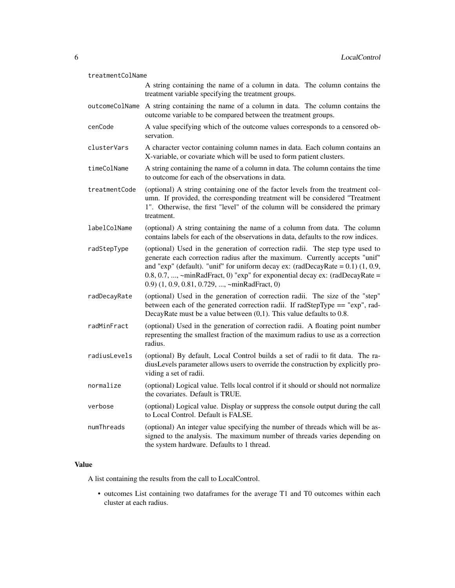| treatmentColName |                                                                                                                                                                                                                                                                                                                                                                                          |  |
|------------------|------------------------------------------------------------------------------------------------------------------------------------------------------------------------------------------------------------------------------------------------------------------------------------------------------------------------------------------------------------------------------------------|--|
|                  | A string containing the name of a column in data. The column contains the<br>treatment variable specifying the treatment groups.                                                                                                                                                                                                                                                         |  |
|                  | outcomeColName A string containing the name of a column in data. The column contains the<br>outcome variable to be compared between the treatment groups.                                                                                                                                                                                                                                |  |
| cenCode          | A value specifying which of the outcome values corresponds to a censored ob-<br>servation.                                                                                                                                                                                                                                                                                               |  |
| clusterVars      | A character vector containing column names in data. Each column contains an<br>X-variable, or covariate which will be used to form patient clusters.                                                                                                                                                                                                                                     |  |
| timeColName      | A string containing the name of a column in data. The column contains the time<br>to outcome for each of the observations in data.                                                                                                                                                                                                                                                       |  |
| treatmentCode    | (optional) A string containing one of the factor levels from the treatment col-<br>umn. If provided, the corresponding treatment will be considered "Treatment<br>1". Otherwise, the first "level" of the column will be considered the primary<br>treatment.                                                                                                                            |  |
| labelColName     | (optional) A string containing the name of a column from data. The column<br>contains labels for each of the observations in data, defaults to the row indices.                                                                                                                                                                                                                          |  |
| radStepType      | (optional) Used in the generation of correction radii. The step type used to<br>generate each correction radius after the maximum. Currently accepts "unif"<br>and "exp" (default). "unif" for uniform decay ex: (radDecayRate = $0.1$ ) (1, 0.9,<br>0.8, 0.7, , ~minRadFract, 0) " $exp$ " for exponential decay $ex:$ (radDecayRate =<br>0.9) (1, 0.9, 0.81, 0.729, , ~minRadFract, 0) |  |
| radDecayRate     | (optional) Used in the generation of correction radii. The size of the "step"<br>between each of the generated correction radii. If radStepType == "exp", rad-<br>DecayRate must be a value between $(0,1)$ . This value defaults to 0.8.                                                                                                                                                |  |
| radMinFract      | (optional) Used in the generation of correction radii. A floating point number<br>representing the smallest fraction of the maximum radius to use as a correction<br>radius.                                                                                                                                                                                                             |  |
| radiusLevels     | (optional) By default, Local Control builds a set of radii to fit data. The ra-<br>diusLevels parameter allows users to override the construction by explicitly pro-<br>viding a set of radii.                                                                                                                                                                                           |  |
| normalize        | (optional) Logical value. Tells local control if it should or should not normalize<br>the covariates. Default is TRUE.                                                                                                                                                                                                                                                                   |  |
| verbose          | (optional) Logical value. Display or suppress the console output during the call<br>to Local Control. Default is FALSE.                                                                                                                                                                                                                                                                  |  |
| numThreads       | (optional) An integer value specifying the number of threads which will be as-<br>signed to the analysis. The maximum number of threads varies depending on<br>the system hardware. Defaults to 1 thread.                                                                                                                                                                                |  |

# Value

A list containing the results from the call to LocalControl.

• outcomes List containing two dataframes for the average T1 and T0 outcomes within each cluster at each radius.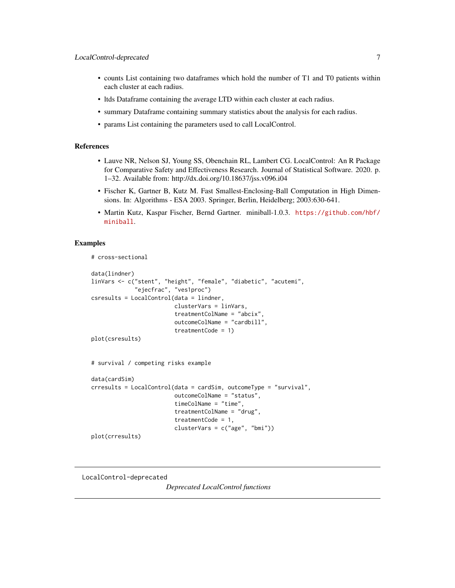- <span id="page-6-0"></span>• counts List containing two dataframes which hold the number of T1 and T0 patients within each cluster at each radius.
- ltds Dataframe containing the average LTD within each cluster at each radius.
- summary Dataframe containing summary statistics about the analysis for each radius.
- params List containing the parameters used to call LocalControl.

# References

- Lauve NR, Nelson SJ, Young SS, Obenchain RL, Lambert CG. LocalControl: An R Package for Comparative Safety and Effectiveness Research. Journal of Statistical Software. 2020. p. 1–32. Available from: http://dx.doi.org/10.18637/jss.v096.i04
- Fischer K, Gartner B, Kutz M. Fast Smallest-Enclosing-Ball Computation in High Dimensions. In: Algorithms - ESA 2003. Springer, Berlin, Heidelberg; 2003:630-641.
- Martin Kutz, Kaspar Fischer, Bernd Gartner. miniball-1.0.3. [https://github.com/hbf/](https://github.com/hbf/miniball) [miniball](https://github.com/hbf/miniball).

#### Examples

```
# cross-sectional
```

```
data(lindner)
linVars <- c("stent", "height", "female", "diabetic", "acutemi",
             "ejecfrac", "ves1proc")
csresults = LocalControl(data = lindner,
                         clusterVars = linVars,
                         treatmentColName = "abcix",
                         outcomeColName = "cardbill",
                         treatmentCode = 1)
plot(csresults)
# survival / competing risks example
data(cardSim)
crresults = LocalControl(data = cardSim, outcomeType = "survival",
                         outcomeColName = "status",
                         timeColName = "time",
                         treatmentColName = "drug",
                         treatmentCode = 1,
                         clusterVars = c("age", "bmi"))
```
plot(crresults)

LocalControl-deprecated

*Deprecated LocalControl functions*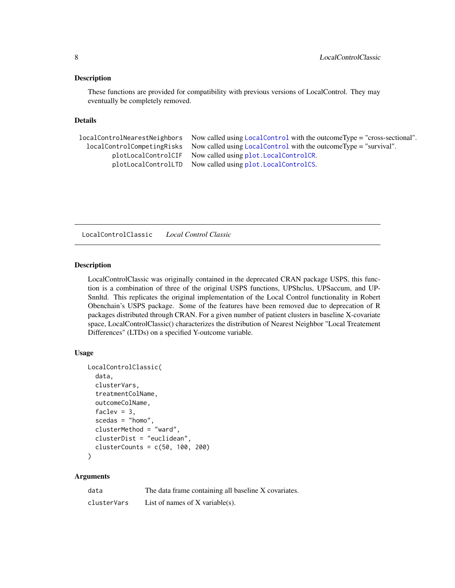#### <span id="page-7-0"></span>Description

These functions are provided for compatibility with previous versions of LocalControl. They may eventually be completely removed.

#### Details

```
localControlNearestNeighbors Now called using LocalControl with the outcomeType = "cross-sectional".
  localControlCompetingRisks Now called using LocalControl with the outcomeType = "survival".
         plotLocalControlCIF Now called using plot.LocalControlCR.
         plotLocalControlLTD Now called using plot.LocalControlCS.
```
<span id="page-7-1"></span>LocalControlClassic *Local Control Classic*

#### Description

LocalControlClassic was originally contained in the deprecated CRAN package USPS, this function is a combination of three of the original USPS functions, UPShclus, UPSaccum, and UP-Snnltd. This replicates the original implementation of the Local Control functionality in Robert Obenchain's USPS package. Some of the features have been removed due to deprecation of R packages distributed through CRAN. For a given number of patient clusters in baseline X-covariate space, LocalControlClassic() characterizes the distribution of Nearest Neighbor "Local Treatement Differences" (LTDs) on a specified Y-outcome variable.

#### Usage

```
LocalControlClassic(
  data,
  clusterVars,
  treatmentColName,
  outcomeColName,
  faclev = 3,
  scedas = "homo",
  clusterMethod = "ward",
  clusterDist = "euclidean",
  clusterCounts = c(50, 100, 200))
```

| data        | The data frame containing all baseline X covariates. |
|-------------|------------------------------------------------------|
| clusterVars | List of names of $X$ variable(s).                    |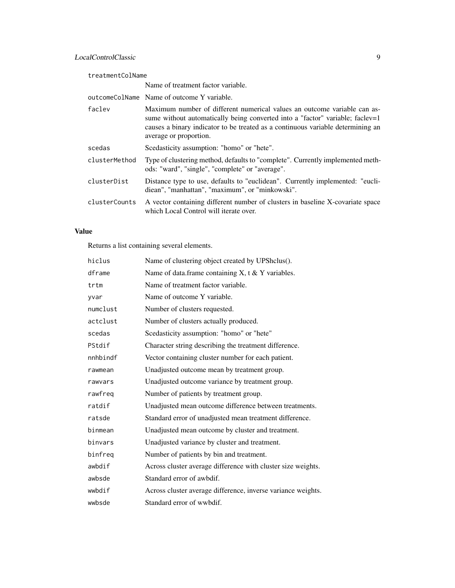| treatmentColName |                                                                                                                                                                                                                                                                        |  |
|------------------|------------------------------------------------------------------------------------------------------------------------------------------------------------------------------------------------------------------------------------------------------------------------|--|
|                  | Name of treatment factor variable.                                                                                                                                                                                                                                     |  |
|                  | outcomeColName Name of outcome Y variable.                                                                                                                                                                                                                             |  |
| faclev           | Maximum number of different numerical values an outcome variable can as-<br>sume without automatically being converted into a "factor" variable; faclev=1<br>causes a binary indicator to be treated as a continuous variable determining an<br>average or proportion. |  |
| scedas           | Scedasticity assumption: "homo" or "hete".                                                                                                                                                                                                                             |  |
| clusterMethod    | Type of clustering method, defaults to "complete". Currently implemented meth-<br>ods: "ward", "single", "complete" or "average".                                                                                                                                      |  |
| clusterDist      | Distance type to use, defaults to "euclidean". Currently implemented: "eucli-<br>diean", "manhattan", "maximum", or "minkowski".                                                                                                                                       |  |
| clusterCounts    | A vector containing different number of clusters in baseline X-covariate space<br>which Local Control will iterate over.                                                                                                                                               |  |

# Value

Returns a list containing several elements.

| hiclus   | Name of clustering object created by UPShclus().             |
|----------|--------------------------------------------------------------|
| dframe   | Name of data.frame containing $X$ , t & Y variables.         |
| trtm     | Name of treatment factor variable.                           |
| yvar     | Name of outcome Y variable.                                  |
| numclust | Number of clusters requested.                                |
| actclust | Number of clusters actually produced.                        |
| scedas   | Scedasticity assumption: "homo" or "hete"                    |
| PStdif   | Character string describing the treatment difference.        |
| nnhbindf | Vector containing cluster number for each patient.           |
| rawmean  | Unadjusted outcome mean by treatment group.                  |
| rawvars  | Unadjusted outcome variance by treatment group.              |
| rawfreq  | Number of patients by treatment group.                       |
| ratdif   | Unadjusted mean outcome difference between treatments.       |
| ratsde   | Standard error of unadjusted mean treatment difference.      |
| binmean  | Unadjusted mean outcome by cluster and treatment.            |
| binvars  | Unadjusted variance by cluster and treatment.                |
| binfreq  | Number of patients by bin and treatment.                     |
| awbdif   | Across cluster average difference with cluster size weights. |
| awbsde   | Standard error of awbdif.                                    |
| wwbdif   | Across cluster average difference, inverse variance weights. |
| wwbsde   | Standard error of wwbdif.                                    |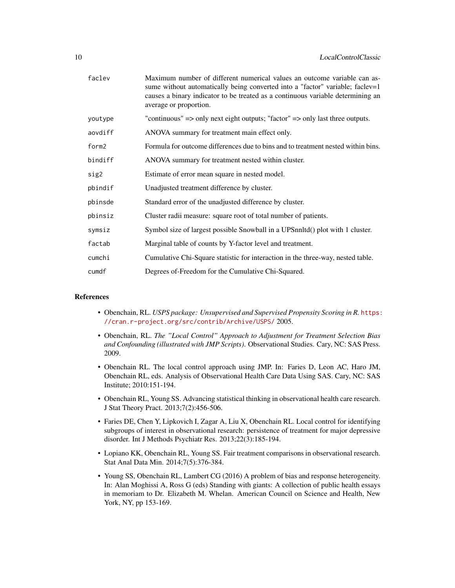| faclev  | Maximum number of different numerical values an outcome variable can as-<br>sume without automatically being converted into a "factor" variable; faclev=1<br>causes a binary indicator to be treated as a continuous variable determining an<br>average or proportion. |
|---------|------------------------------------------------------------------------------------------------------------------------------------------------------------------------------------------------------------------------------------------------------------------------|
| youtype | "continuous" $\Rightarrow$ only next eight outputs; "factor" $\Rightarrow$ only last three outputs.                                                                                                                                                                    |
| aovdiff | ANOVA summary for treatment main effect only.                                                                                                                                                                                                                          |
| form2   | Formula for outcome differences due to bins and to treatment nested within bins.                                                                                                                                                                                       |
| bindiff | ANOVA summary for treatment nested within cluster.                                                                                                                                                                                                                     |
| sig2    | Estimate of error mean square in nested model.                                                                                                                                                                                                                         |
| pbindif | Unadjusted treatment difference by cluster.                                                                                                                                                                                                                            |
| pbinsde | Standard error of the unadjusted difference by cluster.                                                                                                                                                                                                                |
| pbinsiz | Cluster radii measure: square root of total number of patients.                                                                                                                                                                                                        |
| symsiz  | Symbol size of largest possible Snowball in a UPSnnltd() plot with 1 cluster.                                                                                                                                                                                          |
| factab  | Marginal table of counts by Y-factor level and treatment.                                                                                                                                                                                                              |
| cumchi  | Cumulative Chi-Square statistic for interaction in the three-way, nested table.                                                                                                                                                                                        |
| cumdf   | Degrees of-Freedom for the Cumulative Chi-Squared.                                                                                                                                                                                                                     |

#### References

- Obenchain, RL. *USPS package: Unsupervised and Supervised Propensity Scoring in R.* [https:](https://cran.r-project.org/src/contrib/Archive/USPS/) [//cran.r-project.org/src/contrib/Archive/USPS/](https://cran.r-project.org/src/contrib/Archive/USPS/) 2005.
- Obenchain, RL. *The "Local Control" Approach to Adjustment for Treatment Selection Bias and Confounding (illustrated with JMP Scripts)*. Observational Studies. Cary, NC: SAS Press. 2009.
- Obenchain RL. The local control approach using JMP. In: Faries D, Leon AC, Haro JM, Obenchain RL, eds. Analysis of Observational Health Care Data Using SAS. Cary, NC: SAS Institute; 2010:151-194.
- Obenchain RL, Young SS. Advancing statistical thinking in observational health care research. J Stat Theory Pract. 2013;7(2):456-506.
- Faries DE, Chen Y, Lipkovich I, Zagar A, Liu X, Obenchain RL. Local control for identifying subgroups of interest in observational research: persistence of treatment for major depressive disorder. Int J Methods Psychiatr Res. 2013;22(3):185-194.
- Lopiano KK, Obenchain RL, Young SS. Fair treatment comparisons in observational research. Stat Anal Data Min. 2014;7(5):376-384.
- Young SS, Obenchain RL, Lambert CG (2016) A problem of bias and response heterogeneity. In: Alan Moghissi A, Ross G (eds) Standing with giants: A collection of public health essays in memoriam to Dr. Elizabeth M. Whelan. American Council on Science and Health, New York, NY, pp 153-169.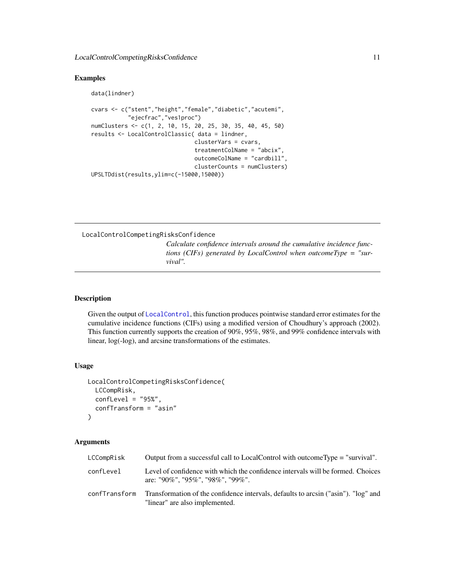#### <span id="page-10-0"></span>Examples

```
data(lindner)
cvars <- c("stent","height","female","diabetic","acutemi",
           "ejecfrac","ves1proc")
numClusters <- c(1, 2, 10, 15, 20, 25, 30, 35, 40, 45, 50)
results <- LocalControlClassic( data = lindner,
                               clusterVars = cvars,
                               treatmentColName = "abcix",
                               outcomeColName = "cardbill",
                               clusterCounts = numClusters)
UPSLTDdist(results,ylim=c(-15000,15000))
```
LocalControlCompetingRisksConfidence

*Calculate confidence intervals around the cumulative incidence functions (CIFs) generated by LocalControl when outcomeType = "survival".*

### Description

Given the output of [LocalControl](#page-3-1), this function produces pointwise standard error estimates for the cumulative incidence functions (CIFs) using a modified version of Choudhury's approach (2002). This function currently supports the creation of 90%, 95%, 98%, and 99% confidence intervals with linear, log(-log), and arcsine transformations of the estimates.

#### Usage

```
LocalControlCompetingRisksConfidence(
  LCCompRisk,
  confLevel = "95%",
  confTransform = "asin"
)
```

| LCCompRisk    | Output from a successful call to LocalControl with outcomeType = "survival".                                         |
|---------------|----------------------------------------------------------------------------------------------------------------------|
| confLevel     | Level of confidence with which the confidence intervals will be formed. Choices<br>are: "90%", "95%", "98%", "99%".  |
| confTransform | Transformation of the confidence intervals, defaults to arcsin ("asin"). "log" and<br>"linear" are also implemented. |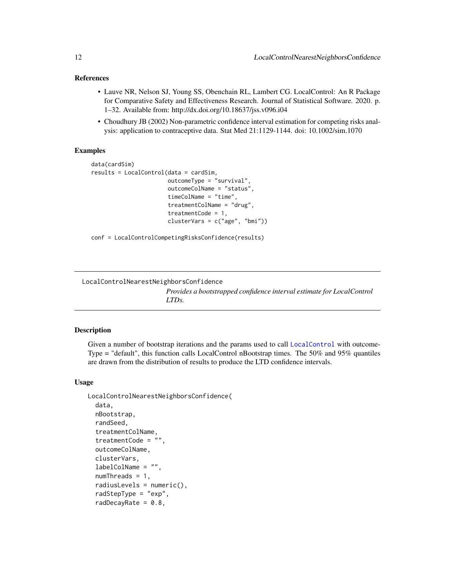#### <span id="page-11-0"></span>References

- Lauve NR, Nelson SJ, Young SS, Obenchain RL, Lambert CG. LocalControl: An R Package for Comparative Safety and Effectiveness Research. Journal of Statistical Software. 2020. p. 1–32. Available from: http://dx.doi.org/10.18637/jss.v096.i04
- Choudhury JB (2002) Non-parametric confidence interval estimation for competing risks analysis: application to contraceptive data. Stat Med 21:1129-1144. doi: 10.1002/sim.1070

### Examples

```
data(cardSim)
results = LocalControl(data = cardSim,
                       outcomeType = "survival",
                       outcomeColName = "status",
                       timeColName = "time",
                       treatmentColName = "drug",
                       treatmentCode = 1,
                       clusterVars = c("age", "bmi"))
```
conf = LocalControlCompetingRisksConfidence(results)

<span id="page-11-1"></span>LocalControlNearestNeighborsConfidence *Provides a bootstrapped confidence interval estimate for LocalControl LTDs.*

#### Description

Given a number of bootstrap iterations and the params used to call [LocalControl](#page-3-1) with outcome-Type = "default", this function calls LocalControl nBootstrap times. The 50% and 95% quantiles are drawn from the distribution of results to produce the LTD confidence intervals.

#### Usage

```
LocalControlNearestNeighborsConfidence(
  data,
  nBootstrap,
  randSeed,
  treatmentColName,
  treatmentCode = "",
  outcomeColName,
  clusterVars,
  labelColName = "",
  numThreads = 1,
  radiusLevels = numeric(),
  radStepType = "exp",
  radDecayRate = 0.8,
```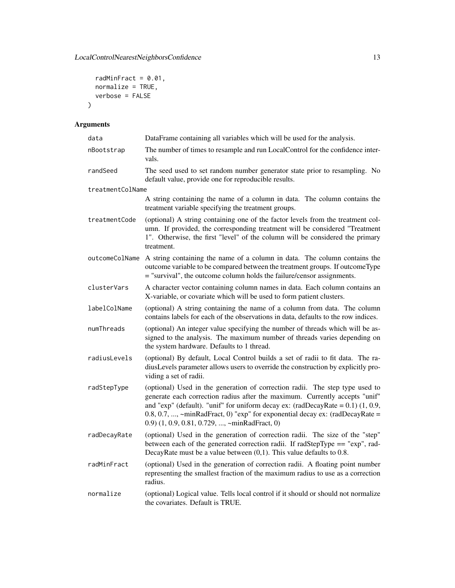```
radMinFract = 0.01,
  normalize = TRUE,
  verbose = FALSE
\mathcal{L}
```

| data             | DataFrame containing all variables which will be used for the analysis.                                                                                                                                                                                                                                                                                                                |
|------------------|----------------------------------------------------------------------------------------------------------------------------------------------------------------------------------------------------------------------------------------------------------------------------------------------------------------------------------------------------------------------------------------|
| nBootstrap       | The number of times to resample and run LocalControl for the confidence inter-<br>vals.                                                                                                                                                                                                                                                                                                |
| randSeed         | The seed used to set random number generator state prior to resampling. No<br>default value, provide one for reproducible results.                                                                                                                                                                                                                                                     |
| treatmentColName |                                                                                                                                                                                                                                                                                                                                                                                        |
|                  | A string containing the name of a column in data. The column contains the<br>treatment variable specifying the treatment groups.                                                                                                                                                                                                                                                       |
| treatmentCode    | (optional) A string containing one of the factor levels from the treatment col-<br>umn. If provided, the corresponding treatment will be considered "Treatment<br>1". Otherwise, the first "level" of the column will be considered the primary<br>treatment.                                                                                                                          |
| outcomeColName   | A string containing the name of a column in data. The column contains the<br>outcome variable to be compared between the treatment groups. If outcomeType<br>= "survival", the outcome column holds the failure/censor assignments.                                                                                                                                                    |
| clusterVars      | A character vector containing column names in data. Each column contains an<br>X-variable, or covariate which will be used to form patient clusters.                                                                                                                                                                                                                                   |
| labelColName     | (optional) A string containing the name of a column from data. The column<br>contains labels for each of the observations in data, defaults to the row indices.                                                                                                                                                                                                                        |
| numThreads       | (optional) An integer value specifying the number of threads which will be as-<br>signed to the analysis. The maximum number of threads varies depending on<br>the system hardware. Defaults to 1 thread.                                                                                                                                                                              |
| radiusLevels     | (optional) By default, Local Control builds a set of radii to fit data. The ra-<br>diusLevels parameter allows users to override the construction by explicitly pro-<br>viding a set of radii.                                                                                                                                                                                         |
| radStepType      | (optional) Used in the generation of correction radii. The step type used to<br>generate each correction radius after the maximum. Currently accepts "unif"<br>and "exp" (default). "unif" for uniform decay ex: (radDecayRate = $0.1$ ) (1, 0.9,<br>0.8, 0.7, , ~minRadFract, 0) " $exp$ " for exponential decay ex: (radDecayRate =<br>0.9) (1, 0.9, 0.81, 0.729, , ~minRadFract, 0) |
| radDecayRate     | (optional) Used in the generation of correction radii. The size of the "step"<br>between each of the generated correction radii. If radStepType == "exp", rad-<br>DecayRate must be a value between $(0,1)$ . This value defaults to 0.8.                                                                                                                                              |
| radMinFract      | (optional) Used in the generation of correction radii. A floating point number<br>representing the smallest fraction of the maximum radius to use as a correction<br>radius.                                                                                                                                                                                                           |
| normalize        | (optional) Logical value. Tells local control if it should or should not normalize<br>the covariates. Default is TRUE.                                                                                                                                                                                                                                                                 |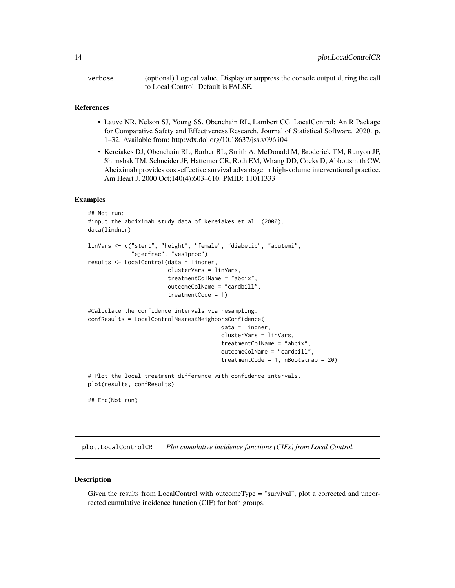<span id="page-13-0"></span>verbose (optional) Logical value. Display or suppress the console output during the call to Local Control. Default is FALSE.

#### References

- Lauve NR, Nelson SJ, Young SS, Obenchain RL, Lambert CG. LocalControl: An R Package for Comparative Safety and Effectiveness Research. Journal of Statistical Software. 2020. p. 1–32. Available from: http://dx.doi.org/10.18637/jss.v096.i04
- Kereiakes DJ, Obenchain RL, Barber BL, Smith A, McDonald M, Broderick TM, Runyon JP, Shimshak TM, Schneider JF, Hattemer CR, Roth EM, Whang DD, Cocks D, Abbottsmith CW. Abciximab provides cost-effective survival advantage in high-volume interventional practice. Am Heart J. 2000 Oct;140(4):603–610. PMID: 11011333

#### Examples

```
## Not run:
#input the abciximab study data of Kereiakes et al. (2000).
data(lindner)
linVars <- c("stent", "height", "female", "diabetic", "acutemi",
             "ejecfrac", "ves1proc")
results <- LocalControl(data = lindner,
                        clusterVars = linVars,
                        treatmentColName = "abcix",
                        outcomeColName = "cardbill",
                        treatmentCode = 1)
#Calculate the confidence intervals via resampling.
confResults = LocalControlNearestNeighborsConfidence(
                                        data = lindner,
                                        clusterVars = linVars,
                                         treatmentColName = "abcix",
                                         outcomeColName = "cardbill",
                                         treatmentCode = 1, nBootstrap = 20)
# Plot the local treatment difference with confidence intervals.
plot(results, confResults)
```
## End(Not run)

```
plot.LocalControlCR Plot cumulative incidence functions (CIFs) from Local Control.
```
#### **Description**

Given the results from LocalControl with outcomeType = "survival", plot a corrected and uncorrected cumulative incidence function (CIF) for both groups.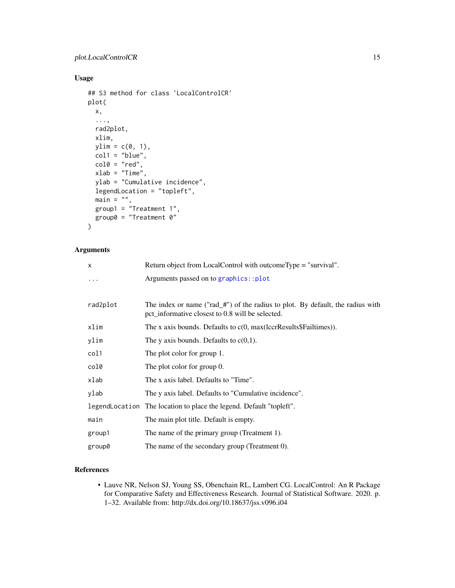# <span id="page-14-0"></span>Usage

```
## S3 method for class 'LocalControlCR'
plot(
 x,
  ...,
 rad2plot,
 xlim,
 ylim = c(0, 1),col1 = "blue",col0 = "red",xlab = "Time",
 ylab = "Cumulative incidence",
 legendLocation = "topleft",
  main = "",group1 = "Treatment 1",
 group0 = "Treatment 0"
)
```
# Arguments

| x        | Return object from LocalControl with outcomeType = "survival".                                                                     |
|----------|------------------------------------------------------------------------------------------------------------------------------------|
| $\ddots$ | Arguments passed on to graphics::plot                                                                                              |
|          |                                                                                                                                    |
| rad2plot | The index or name ("rad_#") of the radius to plot. By default, the radius with<br>pct_informative closest to 0.8 will be selected. |
| xlim     | The x axis bounds. Defaults to $c(0, max(lccrResults $Failtimes)).$                                                                |
| ylim     | The y axis bounds. Defaults to $c(0,1)$ .                                                                                          |
| col1     | The plot color for group 1.                                                                                                        |
| col0     | The plot color for group 0.                                                                                                        |
| xlab     | The x axis label. Defaults to "Time".                                                                                              |
| ylab     | The y axis label. Defaults to "Cumulative incidence".                                                                              |
|          | legendLocation The location to place the legend. Default "topleft".                                                                |
| main     | The main plot title. Default is empty.                                                                                             |
| group1   | The name of the primary group (Treatment 1).                                                                                       |
| group0   | The name of the secondary group (Treatment 0).                                                                                     |

# References

• Lauve NR, Nelson SJ, Young SS, Obenchain RL, Lambert CG. LocalControl: An R Package for Comparative Safety and Effectiveness Research. Journal of Statistical Software. 2020. p. 1–32. Available from: http://dx.doi.org/10.18637/jss.v096.i04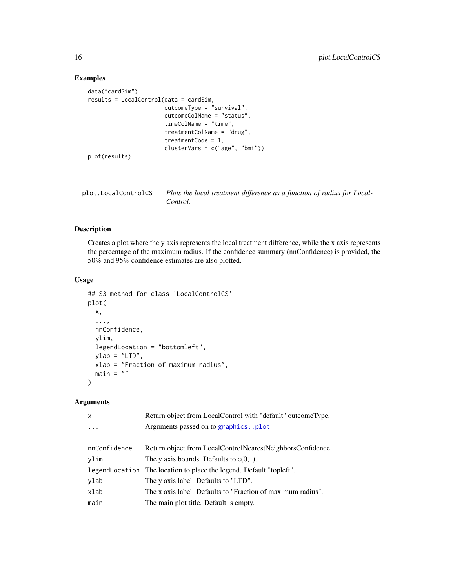# Examples

```
data("cardSim")
results = LocalControl(data = cardSim,
                       outcomeType = "survival",
                       outcomeColName = "status",
                       timeColName = "time",
                       treatmentColName = "drug",
                       treatmentCode = 1,
                       clusterVars = c("age", "bmi"))
plot(results)
```
<span id="page-15-1"></span>plot.LocalControlCS *Plots the local treatment difference as a function of radius for Local-Control.*

# Description

Creates a plot where the y axis represents the local treatment difference, while the x axis represents the percentage of the maximum radius. If the confidence summary (nnConfidence) is provided, the 50% and 95% confidence estimates are also plotted.

#### Usage

```
## S3 method for class 'LocalControlCS'
plot(
 x,
  ...,
 nnConfidence,
 ylim,
  legendLocation = "bottomleft",
 ylab = "LTD",xlab = "Fraction of maximum radius",
 main = ""\lambda
```

| $\mathsf{x}$ | Return object from LocalControl with "default" outcomeType.         |
|--------------|---------------------------------------------------------------------|
| $\ddotsc$    | Arguments passed on to graphics::plot                               |
|              |                                                                     |
| nnConfidence | Return object from LocalControlNearestNeighborsConfidence           |
| ylim         | The y axis bounds. Defaults to $c(0,1)$ .                           |
|              | legendLocation The location to place the legend. Default "topleft". |
| ylab         | The y axis label. Defaults to "LTD".                                |
| xlab         | The x axis label. Defaults to "Fraction of maximum radius".         |
| main         | The main plot title. Default is empty.                              |

<span id="page-15-0"></span>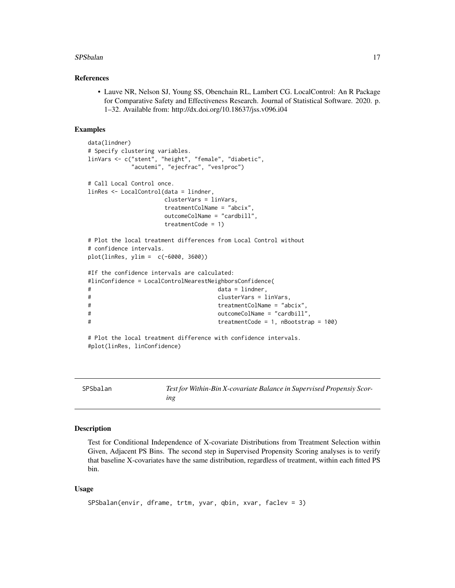#### <span id="page-16-0"></span>SPSbalan 17

#### References

• Lauve NR, Nelson SJ, Young SS, Obenchain RL, Lambert CG. LocalControl: An R Package for Comparative Safety and Effectiveness Research. Journal of Statistical Software. 2020. p. 1–32. Available from: http://dx.doi.org/10.18637/jss.v096.i04

#### Examples

```
data(lindner)
# Specify clustering variables.
linVars <- c("stent", "height", "female", "diabetic",
          "acutemi", "ejecfrac", "ves1proc")
# Call Local Control once.
linRes <- LocalControl(data = lindner,
                  clusterVars = linVars,
                  treatmentColName = "abcix",
                  outcomeColName = "cardbill",
                  treatmentCode = 1)
# Plot the local treatment differences from Local Control without
# confidence intervals.
plot(linRes, ylim = c(-6000, 3600))
#If the confidence intervals are calculated:
#linConfidence = LocalControlNearestNeighborsConfidence(
# data = lindner,
# clusterVars = linVars,
# treatmentColName = "abcix",
# outcomeColName = "cardbill",
# treatmentCode = 1, nBootstrap = 100)
# Plot the local treatment difference with confidence intervals.
#plot(linRes, linConfidence)
```
<span id="page-16-1"></span>

SPSbalan *Test for Within-Bin X-covariate Balance in Supervised Propensiy Scoring*

# Description

Test for Conditional Independence of X-covariate Distributions from Treatment Selection within Given, Adjacent PS Bins. The second step in Supervised Propensity Scoring analyses is to verify that baseline X-covariates have the same distribution, regardless of treatment, within each fitted PS bin.

#### Usage

```
SPSbalan(envir, dframe, trtm, yvar, qbin, xvar, faclev = 3)
```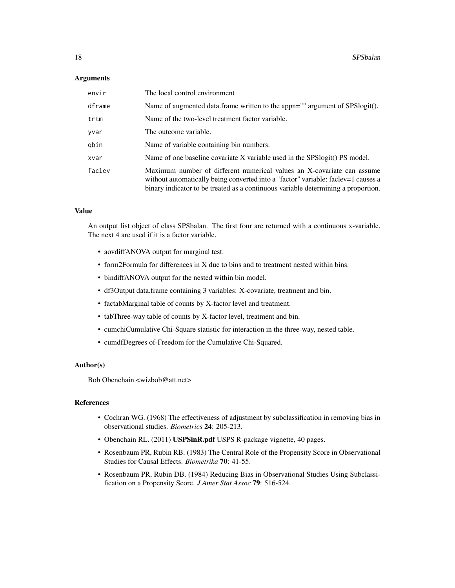#### Arguments

| envir  | The local control environment                                                                                                                                                                                                                    |
|--------|--------------------------------------------------------------------------------------------------------------------------------------------------------------------------------------------------------------------------------------------------|
| dframe | Name of augmented data.frame written to the appn="" argument of SPSlogit().                                                                                                                                                                      |
| trtm   | Name of the two-level treatment factor variable.                                                                                                                                                                                                 |
| yvar   | The outcome variable.                                                                                                                                                                                                                            |
| qbin   | Name of variable containing bin numbers.                                                                                                                                                                                                         |
| xvar   | Name of one baseline covariate X variable used in the SPSlogit() PS model.                                                                                                                                                                       |
| faclev | Maximum number of different numerical values an X-covariate can assume<br>without automatically being converted into a "factor" variable; faclev=1 causes a<br>binary indicator to be treated as a continuous variable determining a proportion. |

#### Value

An output list object of class SPSbalan. The first four are returned with a continuous x-variable. The next 4 are used if it is a factor variable.

- aovdiffANOVA output for marginal test.
- form2Formula for differences in X due to bins and to treatment nested within bins.
- bindiffANOVA output for the nested within bin model.
- df3Output data.frame containing 3 variables: X-covariate, treatment and bin.
- factabMarginal table of counts by X-factor level and treatment.
- tabThree-way table of counts by X-factor level, treatment and bin.
- cumchiCumulative Chi-Square statistic for interaction in the three-way, nested table.
- cumdfDegrees of-Freedom for the Cumulative Chi-Squared.

# Author(s)

Bob Obenchain <wizbob@att.net>

#### References

- Cochran WG. (1968) The effectiveness of adjustment by subclassification in removing bias in observational studies. *Biometrics* 24: 205-213.
- Obenchain RL. (2011) USPSinR.pdf USPS R-package vignette, 40 pages.
- Rosenbaum PR, Rubin RB. (1983) The Central Role of the Propensity Score in Observational Studies for Causal Effects. *Biometrika* 70: 41-55.
- Rosenbaum PR, Rubin DB. (1984) Reducing Bias in Observational Studies Using Subclassification on a Propensity Score. *J Amer Stat Assoc* 79: 516-524.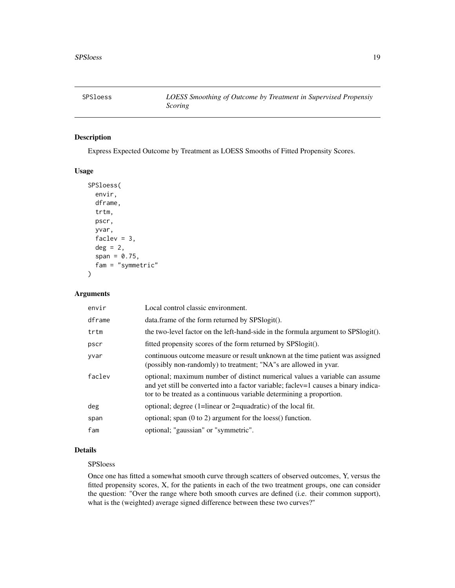<span id="page-18-0"></span>

### Description

Express Expected Outcome by Treatment as LOESS Smooths of Fitted Propensity Scores.

# Usage

```
SPSloess(
  envir,
  dframe,
  trtm,
  pscr,
  yvar,
  faclev = 3,
  deg = 2,
  span = 0.75,
  fam = "symmetric"
)
```
# Arguments

| envir  | Local control classic environment.                                                                                                                                                                                                         |
|--------|--------------------------------------------------------------------------------------------------------------------------------------------------------------------------------------------------------------------------------------------|
| dframe | data.frame of the form returned by SPSlogit().                                                                                                                                                                                             |
| trtm   | the two-level factor on the left-hand-side in the formula argument to SPSlogit().                                                                                                                                                          |
| pscr   | fitted propensity scores of the form returned by SPSlogit().                                                                                                                                                                               |
| yvar   | continuous outcome measure or result unknown at the time patient was assigned<br>(possibly non-randomly) to treatment; "NA"s are allowed in yvar.                                                                                          |
| faclev | optional; maximum number of distinct numerical values a variable can assume<br>and yet still be converted into a factor variable; factor-1 causes a binary indica-<br>tor to be treated as a continuous variable determining a proportion. |
| deg    | optional; degree (1=linear or 2=quadratic) of the local fit.                                                                                                                                                                               |
| span   | optional; span $(0 \text{ to } 2)$ argument for the loess $()$ function.                                                                                                                                                                   |
| fam    | optional; "gaussian" or "symmetric".                                                                                                                                                                                                       |

# Details

#### SPSloess

Once one has fitted a somewhat smooth curve through scatters of observed outcomes, Y, versus the fitted propensity scores, X, for the patients in each of the two treatment groups, one can consider the question: "Over the range where both smooth curves are defined (i.e. their common support), what is the (weighted) average signed difference between these two curves?"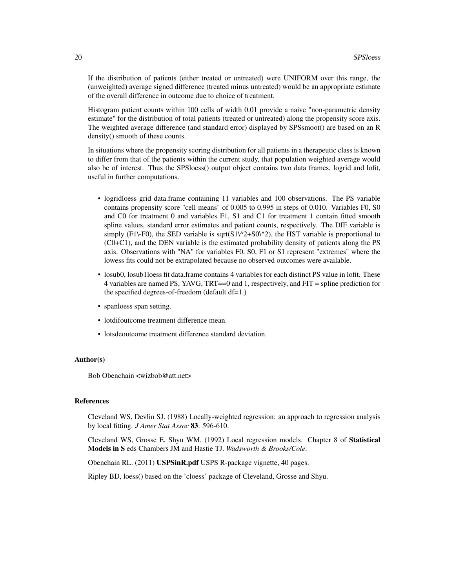If the distribution of patients (either treated or untreated) were UNIFORM over this range, the (unweighted) average signed difference (treated minus untreated) would be an appropriate estimate of the overall difference in outcome due to choice of treatment.

Histogram patient counts within 100 cells of width 0.01 provide a naive "non-parametric density estimate" for the distribution of total patients (treated or untreated) along the propensity score axis. The weighted average difference (and standard error) displayed by SPSsmoot() are based on an R density() smooth of these counts.

In situations where the propensity scoring distribution for all patients in a therapeutic class is known to differ from that of the patients within the current study, that population weighted average would also be of interest. Thus the SPSloess() output object contains two data frames, logrid and lofit, useful in further computations.

- logridloess grid data.frame containing 11 variables and 100 observations. The PS variable contains propensity score "cell means" of 0.005 to 0.995 in steps of 0.010. Variables F0, S0 and C0 for treatment 0 and variables F1, S1 and C1 for treatment 1 contain fitted smooth spline values, standard error estimates and patient counts, respectively. The DIF variable is simply (F1\-F0), the SED variable is sqrt( $S1\$ <sup>2</sup>+S0\^2), the HST variable is proportional to (C0+C1), and the DEN variable is the estimated probability density of patients along the PS axis. Observations with "NA" for variables F0, S0, F1 or S1 represent "extremes" where the lowess fits could not be extrapolated because no observed outcomes were available.
- losub0, losub1loess fit data.frame contains 4 variables for each distinct PS value in lofit. These 4 variables are named PS, YAVG, TRT==0 and 1, respectively, and FIT = spline prediction for the specified degrees-of-freedom (default df=1.)
- spanloess span setting.
- lotdifoutcome treatment difference mean.
- lotsdeoutcome treatment difference standard deviation.

#### Author(s)

Bob Obenchain <wizbob@att.net>

#### References

Cleveland WS, Devlin SJ. (1988) Locally-weighted regression: an approach to regression analysis by local fitting. *J Amer Stat Assoc* 83: 596-610.

Cleveland WS, Grosse E, Shyu WM. (1992) Local regression models. Chapter 8 of Statistical Models in S eds Chambers JM and Hastie TJ. *Wadsworth & Brooks/Cole*.

Obenchain RL. (2011) USPSinR.pdf USPS R-package vignette, 40 pages.

Ripley BD, loess() based on the 'cloess' package of Cleveland, Grosse and Shyu.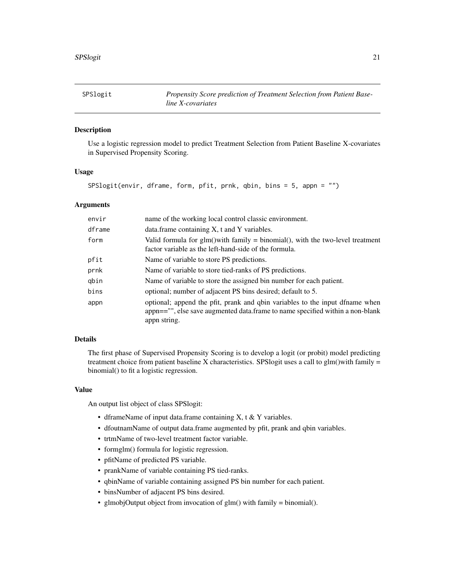<span id="page-20-1"></span><span id="page-20-0"></span>

# Description

Use a logistic regression model to predict Treatment Selection from Patient Baseline X-covariates in Supervised Propensity Scoring.

#### Usage

SPSlogit(envir, dframe, form, pfit, prnk, qbin, bins = 5, appn = "")

#### Arguments

| envir  | name of the working local control classic environment.                                                                                                                        |
|--------|-------------------------------------------------------------------------------------------------------------------------------------------------------------------------------|
| dframe | data.frame containing X, t and Y variables.                                                                                                                                   |
| form   | Valid formula for $g/m$ ) with family = binomial(), with the two-level treatment<br>factor variable as the left-hand-side of the formula.                                     |
| pfit   | Name of variable to store PS predictions.                                                                                                                                     |
| prnk   | Name of variable to store tied-ranks of PS predictions.                                                                                                                       |
| qbin   | Name of variable to store the assigned bin number for each patient.                                                                                                           |
| bins   | optional; number of adjacent PS bins desired; default to 5.                                                                                                                   |
| appn   | optional; append the pfit, prank and qbin variables to the input dfname when<br>appn=="", else save augmented data.frame to name specified within a non-blank<br>appn string. |

#### Details

The first phase of Supervised Propensity Scoring is to develop a logit (or probit) model predicting treatment choice from patient baseline X characteristics. SPSlogit uses a call to glm()with family  $=$ binomial() to fit a logistic regression.

#### Value

An output list object of class SPSlogit:

- dframeName of input data.frame containing X, t & Y variables.
- dfoutnamName of output data.frame augmented by pfit, prank and qbin variables.
- trtmName of two-level treatment factor variable.
- formglm() formula for logistic regression.
- pfitName of predicted PS variable.
- prankName of variable containing PS tied-ranks.
- qbinName of variable containing assigned PS bin number for each patient.
- binsNumber of adjacent PS bins desired.
- glmobjOutput object from invocation of glm() with family = binomial().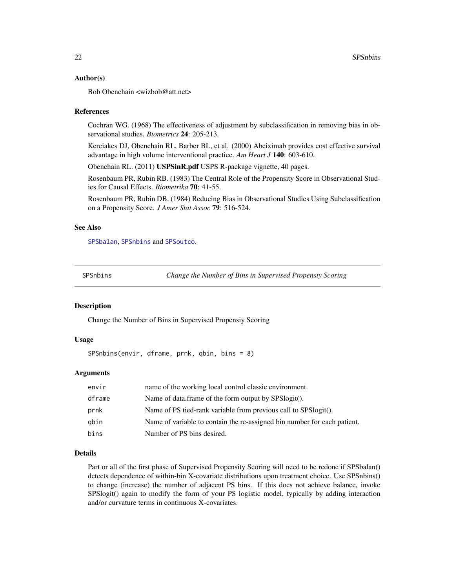#### Author(s)

Bob Obenchain <wizbob@att.net>

#### References

Cochran WG. (1968) The effectiveness of adjustment by subclassification in removing bias in observational studies. *Biometrics* 24: 205-213.

Kereiakes DJ, Obenchain RL, Barber BL, et al. (2000) Abciximab provides cost effective survival advantage in high volume interventional practice. *Am Heart J* 140: 603-610.

Obenchain RL. (2011) USPSinR.pdf USPS R-package vignette, 40 pages.

Rosenbaum PR, Rubin RB. (1983) The Central Role of the Propensity Score in Observational Studies for Causal Effects. *Biometrika* 70: 41-55.

Rosenbaum PR, Rubin DB. (1984) Reducing Bias in Observational Studies Using Subclassification on a Propensity Score. *J Amer Stat Assoc* 79: 516-524.

#### See Also

[SPSbalan](#page-16-1), [SPSnbins](#page-21-1) and [SPSoutco](#page-22-1).

<span id="page-21-1"></span>SPSnbins *Change the Number of Bins in Supervised Propensiy Scoring*

# Description

Change the Number of Bins in Supervised Propensiy Scoring

#### Usage

```
SPSnbins(envir, dframe, prnk, qbin, bins = 8)
```
#### **Arguments**

| envir  | name of the working local control classic environment.                   |
|--------|--------------------------------------------------------------------------|
| dframe | Name of data.frame of the form output by SPSlogit().                     |
| prnk   | Name of PS tied-rank variable from previous call to SPSlogit().          |
| abin   | Name of variable to contain the re-assigned bin number for each patient. |
| bins   | Number of PS bins desired.                                               |

#### Details

Part or all of the first phase of Supervised Propensity Scoring will need to be redone if SPSbalan() detects dependence of within-bin X-covariate distributions upon treatment choice. Use SPSnbins() to change (increase) the number of adjacent PS bins. If this does not achieve balance, invoke SPSlogit() again to modify the form of your PS logistic model, typically by adding interaction and/or curvature terms in continuous X-covariates.

<span id="page-21-0"></span>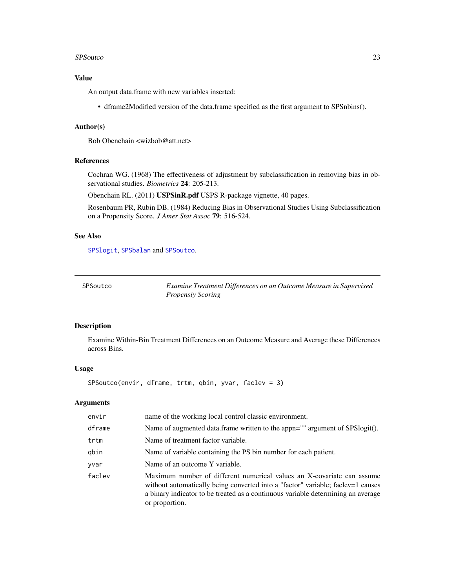#### <span id="page-22-0"></span>SPSoutco 23

# Value

An output data.frame with new variables inserted:

• dframe2Modified version of the data.frame specified as the first argument to SPSnbins().

#### Author(s)

Bob Obenchain <wizbob@att.net>

### References

Cochran WG. (1968) The effectiveness of adjustment by subclassification in removing bias in observational studies. *Biometrics* 24: 205-213.

Obenchain RL. (2011) USPSinR.pdf USPS R-package vignette, 40 pages.

Rosenbaum PR, Rubin DB. (1984) Reducing Bias in Observational Studies Using Subclassification on a Propensity Score. *J Amer Stat Assoc* 79: 516-524.

#### See Also

[SPSlogit](#page-20-1), [SPSbalan](#page-16-1) and [SPSoutco](#page-22-1).

<span id="page-22-1"></span>

| SPSoutco | Examine Treatment Differences on an Outcome Measure in Supervised |
|----------|-------------------------------------------------------------------|
|          | <b>Propensiy Scoring</b>                                          |

### Description

Examine Within-Bin Treatment Differences on an Outcome Measure and Average these Differences across Bins.

#### Usage

SPSoutco(envir, dframe, trtm, qbin, yvar, faclev = 3)

| envir  | name of the working local control classic environment.                                                                                                                                                                                                          |
|--------|-----------------------------------------------------------------------------------------------------------------------------------------------------------------------------------------------------------------------------------------------------------------|
| dframe | Name of augmented data.frame written to the appn="" argument of SPSlogit().                                                                                                                                                                                     |
| trtm   | Name of treatment factor variable.                                                                                                                                                                                                                              |
| qbin   | Name of variable containing the PS bin number for each patient.                                                                                                                                                                                                 |
| yvar   | Name of an outcome Y variable.                                                                                                                                                                                                                                  |
| faclev | Maximum number of different numerical values an X-covariate can assume<br>without automatically being converted into a "factor" variable; faclev=1 causes<br>a binary indicator to be treated as a continuous variable determining an average<br>or proportion. |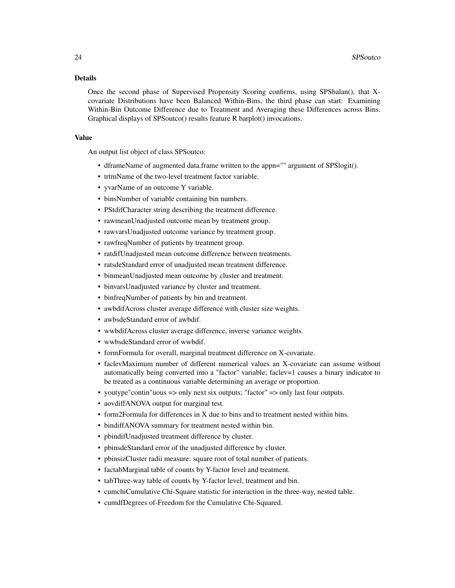#### Details

Once the second phase of Supervised Propensity Scoring confirms, using SPSbalan(), that Xcovariate Distributions have been Balanced Within-Bins, the third phase can start: Examining Within-Bin Outcome Difference due to Treatment and Averaging these Differences across Bins. Graphical displays of SPSoutco() results feature R barplot() invocations.

#### Value

An output list object of class SPSoutco:

- dframeName of augmented data.frame written to the appn="" argument of SPSlogit().
- trtmName of the two-level treatment factor variable.
- yvarName of an outcome Y variable.
- binsNumber of variable containing bin numbers.
- PStdifCharacter string describing the treatment difference.
- rawmeanUnadjusted outcome mean by treatment group.
- rawvarsUnadjusted outcome variance by treatment group.
- rawfreqNumber of patients by treatment group.
- ratdifUnadjusted mean outcome difference between treatments.
- ratsdeStandard error of unadjusted mean treatment difference.
- binmeanUnadjusted mean outcome by cluster and treatment.
- binvarsUnadjusted variance by cluster and treatment.
- binfreqNumber of patients by bin and treatment.
- awbdifAcross cluster average difference with cluster size weights.
- awbsdeStandard error of awbdif.
- wwbdifAcross cluster average difference, inverse variance weights.
- wwbsdeStandard error of wwbdif.
- formFormula for overall, marginal treatment difference on X-covariate.
- faclevMaximum number of different numerical values an X-covariate can assume without automatically being converted into a "factor" variable; faclev=1 causes a binary indicator to be treated as a continuous variable determining an average or proportion.
- youtype"contin"uous => only next six outputs; "factor" => only last four outputs.
- aovdiffANOVA output for marginal test.
- form2Formula for differences in X due to bins and to treatment nested within bins.
- bindiffANOVA summary for treatment nested within bin.
- pbindifUnadjusted treatment difference by cluster.
- pbinsdeStandard error of the unadjusted difference by cluster.
- pbinsizCluster radii measure: square root of total number of patients.
- factabMarginal table of counts by Y-factor level and treatment.
- tabThree-way table of counts by Y-factor level, treatment and bin.
- cumchiCumulative Chi-Square statistic for interaction in the three-way, nested table.
- cumdfDegrees of-Freedom for the Cumulative Chi-Squared.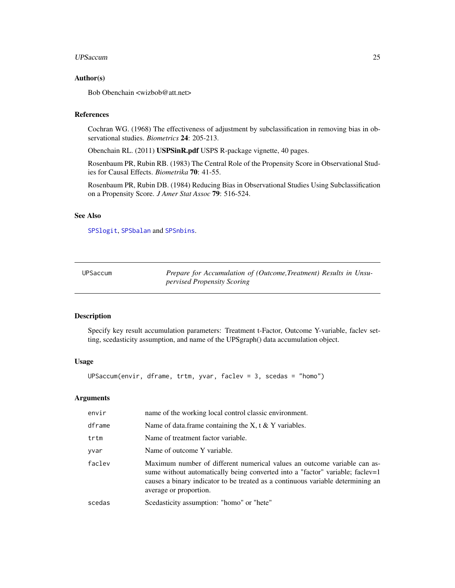#### <span id="page-24-0"></span>UPSaccum 25

#### Author(s)

Bob Obenchain <wizbob@att.net>

# References

Cochran WG. (1968) The effectiveness of adjustment by subclassification in removing bias in observational studies. *Biometrics* 24: 205-213.

Obenchain RL. (2011) USPSinR.pdf USPS R-package vignette, 40 pages.

Rosenbaum PR, Rubin RB. (1983) The Central Role of the Propensity Score in Observational Studies for Causal Effects. *Biometrika* 70: 41-55.

Rosenbaum PR, Rubin DB. (1984) Reducing Bias in Observational Studies Using Subclassification on a Propensity Score. *J Amer Stat Assoc* 79: 516-524.

# See Also

[SPSlogit](#page-20-1), [SPSbalan](#page-16-1) and [SPSnbins](#page-21-1).

<span id="page-24-1"></span>

| UPSaccum |
|----------|
|----------|

Prepare for Accumulation of (Outcome,Treatment) Results in Unsu*pervised Propensity Scoring*

#### Description

Specify key result accumulation parameters: Treatment t-Factor, Outcome Y-variable, faclev setting, scedasticity assumption, and name of the UPSgraph() data accumulation object.

#### Usage

UPSaccum(envir, dframe, trtm, yvar, faclev = 3, scedas = "homo")

| envir  | name of the working local control classic environment.                                                                                                                                                                                                                 |
|--------|------------------------------------------------------------------------------------------------------------------------------------------------------------------------------------------------------------------------------------------------------------------------|
| dframe | Name of data frame containing the X, t $&Y$ variables.                                                                                                                                                                                                                 |
| trtm   | Name of treatment factor variable.                                                                                                                                                                                                                                     |
| yvar   | Name of outcome Y variable.                                                                                                                                                                                                                                            |
| faclev | Maximum number of different numerical values an outcome variable can as-<br>sume without automatically being converted into a "factor" variable; faclev=1<br>causes a binary indicator to be treated as a continuous variable determining an<br>average or proportion. |
| scedas | Scedasticity assumption: "homo" or "hete"                                                                                                                                                                                                                              |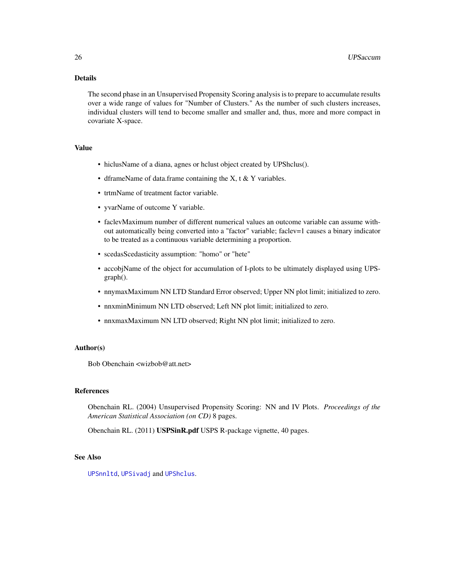# <span id="page-25-0"></span>Details

The second phase in an Unsupervised Propensity Scoring analysis is to prepare to accumulate results over a wide range of values for "Number of Clusters." As the number of such clusters increases, individual clusters will tend to become smaller and smaller and, thus, more and more compact in covariate X-space.

# Value

- hiclusName of a diana, agnes or hclust object created by UPShclus().
- dframeName of data.frame containing the  $X$ , t  $\&$  Y variables.
- trtmName of treatment factor variable.
- yvarName of outcome Y variable.
- faclevMaximum number of different numerical values an outcome variable can assume without automatically being converted into a "factor" variable; faclev=1 causes a binary indicator to be treated as a continuous variable determining a proportion.
- scedasScedasticity assumption: "homo" or "hete"
- accobjName of the object for accumulation of I-plots to be ultimately displayed using UPSgraph().
- nnymaxMaximum NN LTD Standard Error observed; Upper NN plot limit; initialized to zero.
- nnxminMinimum NN LTD observed; Left NN plot limit; initialized to zero.
- nnxmaxMaximum NN LTD observed; Right NN plot limit; initialized to zero.

# Author(s)

Bob Obenchain <wizbob@att.net>

#### References

Obenchain RL. (2004) Unsupervised Propensity Scoring: NN and IV Plots. *Proceedings of the American Statistical Association (on CD)* 8 pages.

Obenchain RL. (2011) USPSinR.pdf USPS R-package vignette, 40 pages.

# See Also

[UPSnnltd](#page-34-1), [UPSivadj](#page-31-1) and [UPShclus](#page-30-1).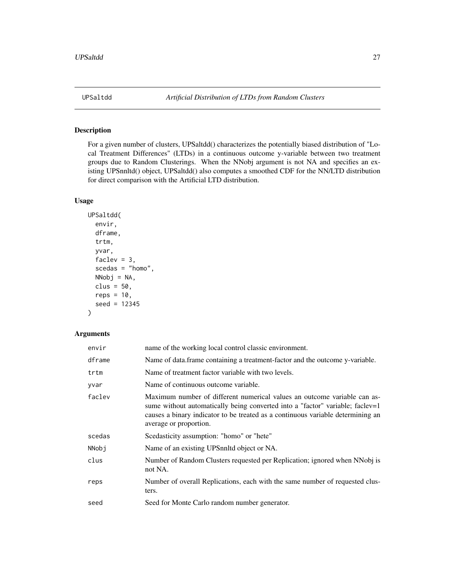<span id="page-26-0"></span>

# Description

For a given number of clusters, UPSaltdd() characterizes the potentially biased distribution of "Local Treatment Differences" (LTDs) in a continuous outcome y-variable between two treatment groups due to Random Clusterings. When the NNobj argument is not NA and specifies an existing UPSnnltd() object, UPSaltdd() also computes a smoothed CDF for the NN/LTD distribution for direct comparison with the Artificial LTD distribution.

#### Usage

```
UPSaltdd(
  envir,
  dframe,
  trtm,
  yvar,
  faclev = 3,scedas = "homo",
 NNobj = NA,
  clus = 50,
  reps = 10,
  seed = 12345
)
```

| envir  | name of the working local control classic environment.                                                                                                                                                                                                                 |
|--------|------------------------------------------------------------------------------------------------------------------------------------------------------------------------------------------------------------------------------------------------------------------------|
| dframe | Name of data.frame containing a treatment-factor and the outcome y-variable.                                                                                                                                                                                           |
| trtm   | Name of treatment factor variable with two levels.                                                                                                                                                                                                                     |
| yvar   | Name of continuous outcome variable.                                                                                                                                                                                                                                   |
| faclev | Maximum number of different numerical values an outcome variable can as-<br>sume without automatically being converted into a "factor" variable; faclev=1<br>causes a binary indicator to be treated as a continuous variable determining an<br>average or proportion. |
| scedas | Scedasticity assumption: "homo" or "hete"                                                                                                                                                                                                                              |
| NNobi  | Name of an existing UPS nuited object or NA.                                                                                                                                                                                                                           |
| clus   | Number of Random Clusters requested per Replication; ignored when NNobj is<br>not NA.                                                                                                                                                                                  |
| reps   | Number of overall Replications, each with the same number of requested clus-<br>ters.                                                                                                                                                                                  |
| seed   | Seed for Monte Carlo random number generator.                                                                                                                                                                                                                          |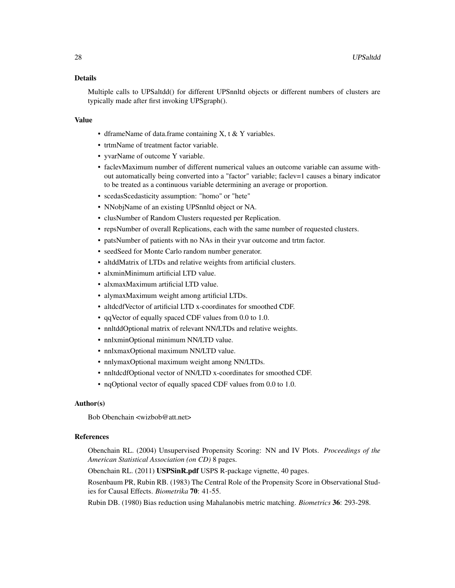#### Details

Multiple calls to UPSaltdd() for different UPSnnltd objects or different numbers of clusters are typically made after first invoking UPSgraph().

#### Value

- dframeName of data.frame containing X, t & Y variables.
- trtmName of treatment factor variable.
- yvarName of outcome Y variable.
- faclevMaximum number of different numerical values an outcome variable can assume without automatically being converted into a "factor" variable; faclev=1 causes a binary indicator to be treated as a continuous variable determining an average or proportion.
- scedasScedasticity assumption: "homo" or "hete"
- NNobjName of an existing UPSnnltd object or NA.
- clusNumber of Random Clusters requested per Replication.
- repsNumber of overall Replications, each with the same number of requested clusters.
- patsNumber of patients with no NAs in their yvar outcome and trtm factor.
- seedSeed for Monte Carlo random number generator.
- altddMatrix of LTDs and relative weights from artificial clusters.
- alxminMinimum artificial LTD value.
- alxmaxMaximum artificial LTD value.
- alymaxMaximum weight among artificial LTDs.
- altdcdfVector of artificial LTD x-coordinates for smoothed CDF.
- qqVector of equally spaced CDF values from 0.0 to 1.0.
- nnltddOptional matrix of relevant NN/LTDs and relative weights.
- nnlxminOptional minimum NN/LTD value.
- nnlxmaxOptional maximum NN/LTD value.
- nnlymaxOptional maximum weight among NN/LTDs.
- nnltdcdfOptional vector of NN/LTD x-coordinates for smoothed CDF.
- nqOptional vector of equally spaced CDF values from 0.0 to 1.0.

#### Author(s)

Bob Obenchain <wizbob@att.net>

#### References

Obenchain RL. (2004) Unsupervised Propensity Scoring: NN and IV Plots. *Proceedings of the American Statistical Association (on CD)* 8 pages.

Obenchain RL. (2011) USPSinR.pdf USPS R-package vignette, 40 pages.

Rosenbaum PR, Rubin RB. (1983) The Central Role of the Propensity Score in Observational Studies for Causal Effects. *Biometrika* 70: 41-55.

Rubin DB. (1980) Bias reduction using Mahalanobis metric matching. *Biometrics* 36: 293-298.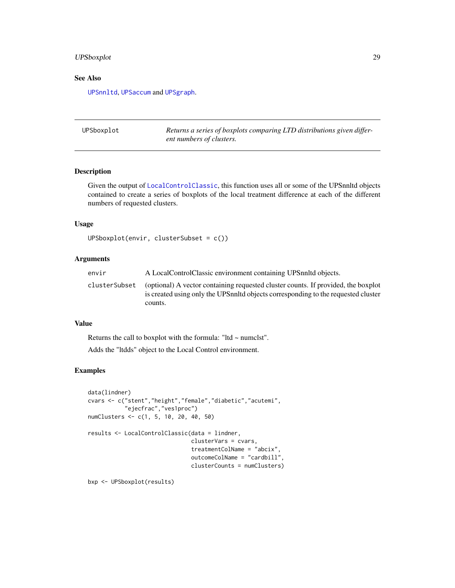# <span id="page-28-0"></span>UPSboxplot 29

# See Also

[UPSnnltd](#page-34-1), [UPSaccum](#page-24-1) and [UPSgraph](#page-29-1).

UPSboxplot *Returns a series of boxplots comparing LTD distributions given different numbers of clusters.*

# Description

Given the output of [LocalControlClassic](#page-7-1), this function uses all or some of the UPSnnltd objects contained to create a series of boxplots of the local treatment difference at each of the different numbers of requested clusters.

# Usage

```
UPSboxplot(envir, clusterSubset = c())
```
#### Arguments

| envir         | A LocalControlClassic environment containing UPS nulled objects.                                                                                                                   |
|---------------|------------------------------------------------------------------------------------------------------------------------------------------------------------------------------------|
| clusterSubset | (optional) A vector containing requested cluster counts. If provided, the boxplot<br>is created using only the UPS nuite objects corresponding to the requested cluster<br>counts. |

#### Value

Returns the call to boxplot with the formula: "Itd  $\sim$  numclst".

Adds the "ltdds" object to the Local Control environment.

# Examples

```
data(lindner)
cvars <- c("stent","height","female","diabetic","acutemi",
           "ejecfrac","ves1proc")
numClusters <- c(1, 5, 10, 20, 40, 50)
results <- LocalControlClassic(data = lindner,
                               clusterVars = cvars,
                               treatmentColName = "abcix",
                               outcomeColName = "cardbill",
                               clusterCounts = numClusters)
bxp <- UPSboxplot(results)
```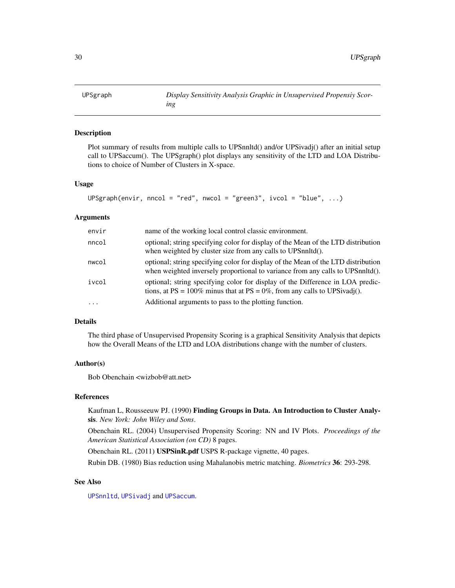<span id="page-29-1"></span><span id="page-29-0"></span>

#### Description

Plot summary of results from multiple calls to UPSnnltd() and/or UPSivadj() after an initial setup call to UPSaccum(). The UPSgraph() plot displays any sensitivity of the LTD and LOA Distributions to choice of Number of Clusters in X-space.

#### Usage

```
UPSgraph(envir, nncol = "red", nwcol = "green3", ivcol = "blue", ...)
```
#### Arguments

| envir    | name of the working local control classic environment.                                                                                                              |
|----------|---------------------------------------------------------------------------------------------------------------------------------------------------------------------|
| nncol    | optional; string specifying color for display of the Mean of the LTD distribution<br>when weighted by cluster size from any calls to UPSnnltd().                    |
| nwcol    | optional; string specifying color for display of the Mean of the LTD distribution<br>when weighted inversely proportional to variance from any calls to UPSnnltd(). |
| ivcol    | optional; string specifying color for display of the Difference in LOA predic-<br>tions, at $PS = 100\%$ minus that at $PS = 0\%$ , from any calls to UPSivadj().   |
| $\cdots$ | Additional arguments to pass to the plotting function.                                                                                                              |

#### Details

The third phase of Unsupervised Propensity Scoring is a graphical Sensitivity Analysis that depicts how the Overall Means of the LTD and LOA distributions change with the number of clusters.

#### Author(s)

Bob Obenchain <wizbob@att.net>

# References

Kaufman L, Rousseeuw PJ. (1990) Finding Groups in Data. An Introduction to Cluster Analysis. *New York: John Wiley and Sons*.

Obenchain RL. (2004) Unsupervised Propensity Scoring: NN and IV Plots. *Proceedings of the American Statistical Association (on CD)* 8 pages.

Obenchain RL. (2011) USPSinR.pdf USPS R-package vignette, 40 pages.

Rubin DB. (1980) Bias reduction using Mahalanobis metric matching. *Biometrics* 36: 293-298.

### See Also

[UPSnnltd](#page-34-1), [UPSivadj](#page-31-1) and [UPSaccum](#page-24-1).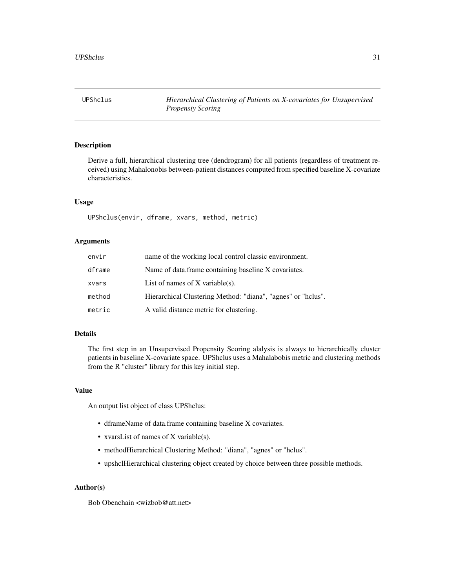<span id="page-30-1"></span><span id="page-30-0"></span>UPShclus *Hierarchical Clustering of Patients on X-covariates for Unsupervised Propensiy Scoring*

#### Description

Derive a full, hierarchical clustering tree (dendrogram) for all patients (regardless of treatment received) using Mahalonobis between-patient distances computed from specified baseline X-covariate characteristics.

#### Usage

UPShclus(envir, dframe, xvars, method, metric)

#### Arguments

| envir  | name of the working local control classic environment.       |
|--------|--------------------------------------------------------------|
| dframe | Name of data.frame containing baseline X covariates.         |
| xvars  | List of names of $X$ variable(s).                            |
| method | Hierarchical Clustering Method: "diana", "agnes" or "hclus". |
| metric | A valid distance metric for clustering.                      |

#### Details

The first step in an Unsupervised Propensity Scoring alalysis is always to hierarchically cluster patients in baseline X-covariate space. UPShclus uses a Mahalabobis metric and clustering methods from the R "cluster" library for this key initial step.

# Value

An output list object of class UPShclus:

- dframeName of data.frame containing baseline X covariates.
- xvarsList of names of X variable(s).
- methodHierarchical Clustering Method: "diana", "agnes" or "hclus".
- upshclHierarchical clustering object created by choice between three possible methods.

#### Author(s)

Bob Obenchain <wizbob@att.net>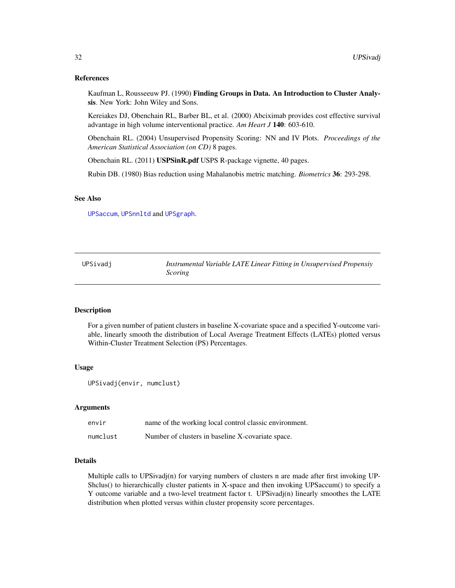#### <span id="page-31-0"></span>References

Kaufman L, Rousseeuw PJ. (1990) Finding Groups in Data. An Introduction to Cluster Analysis. New York: John Wiley and Sons.

Kereiakes DJ, Obenchain RL, Barber BL, et al. (2000) Abciximab provides cost effective survival advantage in high volume interventional practice. *Am Heart J* 140: 603-610.

Obenchain RL. (2004) Unsupervised Propensity Scoring: NN and IV Plots. *Proceedings of the American Statistical Association (on CD)* 8 pages.

Obenchain RL. (2011) USPSinR.pdf USPS R-package vignette, 40 pages.

Rubin DB. (1980) Bias reduction using Mahalanobis metric matching. *Biometrics* 36: 293-298.

#### See Also

[UPSaccum](#page-24-1), [UPSnnltd](#page-34-1) and [UPSgraph](#page-29-1).

<span id="page-31-1"></span>UPSivadj *Instrumental Variable LATE Linear Fitting in Unsupervised Propensiy Scoring*

# **Description**

For a given number of patient clusters in baseline X-covariate space and a specified Y-outcome variable, linearly smooth the distribution of Local Average Treatment Effects (LATEs) plotted versus Within-Cluster Treatment Selection (PS) Percentages.

#### Usage

```
UPSivadj(envir, numclust)
```
#### Arguments

| envir    | name of the working local control classic environment. |
|----------|--------------------------------------------------------|
| numclust | Number of clusters in baseline X-covariate space.      |

#### Details

Multiple calls to UPSivadj(n) for varying numbers of clusters n are made after first invoking UP-Shclus() to hierarchically cluster patients in X-space and then invoking UPSaccum() to specify a Y outcome variable and a two-level treatment factor t. UPSivadj(n) linearly smoothes the LATE distribution when plotted versus within cluster propensity score percentages.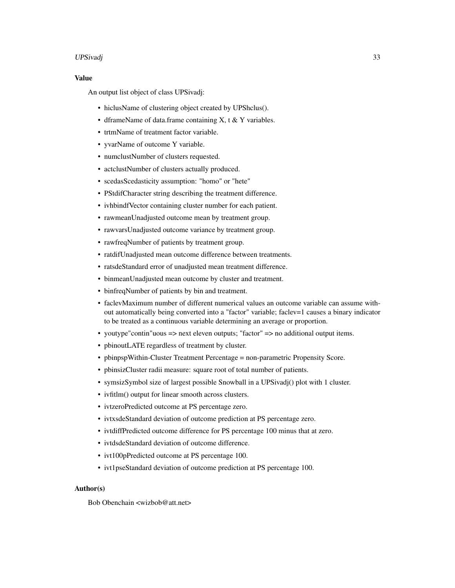#### UPSivadj 33

# Value

An output list object of class UPSivadj:

- hiclusName of clustering object created by UPShclus().
- dframeName of data.frame containing X, t & Y variables.
- trtmName of treatment factor variable.
- yvarName of outcome Y variable.
- numclustNumber of clusters requested.
- actclustNumber of clusters actually produced.
- scedasScedasticity assumption: "homo" or "hete"
- PStdifCharacter string describing the treatment difference.
- ivhbindfVector containing cluster number for each patient.
- rawmeanUnadjusted outcome mean by treatment group.
- rawvarsUnadjusted outcome variance by treatment group.
- rawfreqNumber of patients by treatment group.
- ratdifUnadjusted mean outcome difference between treatments.
- ratsdeStandard error of unadjusted mean treatment difference.
- binmeanUnadjusted mean outcome by cluster and treatment.
- binfreqNumber of patients by bin and treatment.
- faclevMaximum number of different numerical values an outcome variable can assume without automatically being converted into a "factor" variable; faclev=1 causes a binary indicator to be treated as a continuous variable determining an average or proportion.
- youtype" contin" uous => next eleven outputs; "factor" => no additional output items.
- pbinoutLATE regardless of treatment by cluster.
- pbinpspWithin-Cluster Treatment Percentage = non-parametric Propensity Score.
- pbinsizCluster radii measure: square root of total number of patients.
- symsizSymbol size of largest possible Snowball in a UPSivadj() plot with 1 cluster.
- ivfitlm() output for linear smooth across clusters.
- ivtzeroPredicted outcome at PS percentage zero.
- ivtxsdeStandard deviation of outcome prediction at PS percentage zero.
- ivtdiffPredicted outcome difference for PS percentage 100 minus that at zero.
- ivtdsdeStandard deviation of outcome difference.
- ivt100pPredicted outcome at PS percentage 100.
- ivt1pseStandard deviation of outcome prediction at PS percentage 100.

#### Author(s)

Bob Obenchain <wizbob@att.net>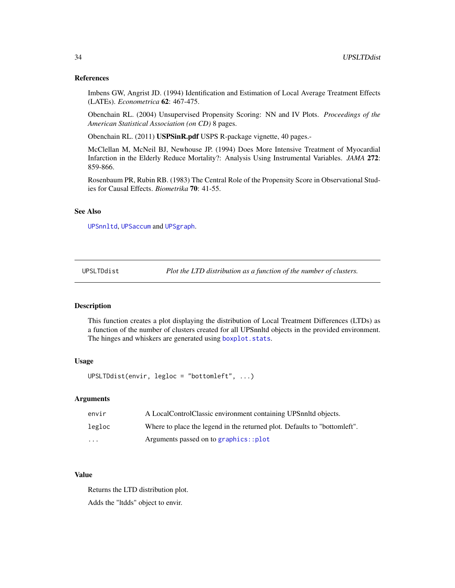#### References

Imbens GW, Angrist JD. (1994) Identification and Estimation of Local Average Treatment Effects (LATEs). *Econometrica* 62: 467-475.

Obenchain RL. (2004) Unsupervised Propensity Scoring: NN and IV Plots. *Proceedings of the American Statistical Association (on CD)* 8 pages.

Obenchain RL. (2011) USPSinR.pdf USPS R-package vignette, 40 pages.-

McClellan M, McNeil BJ, Newhouse JP. (1994) Does More Intensive Treatment of Myocardial Infarction in the Elderly Reduce Mortality?: Analysis Using Instrumental Variables. *JAMA* 272: 859-866.

Rosenbaum PR, Rubin RB. (1983) The Central Role of the Propensity Score in Observational Studies for Causal Effects. *Biometrika* 70: 41-55.

#### See Also

[UPSnnltd](#page-34-1), [UPSaccum](#page-24-1) and [UPSgraph](#page-29-1).

UPSLTDdist *Plot the LTD distribution as a function of the number of clusters.*

#### Description

This function creates a plot displaying the distribution of Local Treatment Differences (LTDs) as a function of the number of clusters created for all UPSnnltd objects in the provided environment. The hinges and whiskers are generated using [boxplot.stats](#page-0-0).

#### Usage

UPSLTDdist(envir, legloc = "bottomleft", ...)

#### **Arguments**

| envir    | A LocalControlClassic environment containing UPS nulted objects.          |
|----------|---------------------------------------------------------------------------|
| legloc   | Where to place the legend in the returned plot. Defaults to "bottomleft". |
| $\cdots$ | Arguments passed on to graphics::plot                                     |

#### Value

Returns the LTD distribution plot. Adds the "ltdds" object to envir.

<span id="page-33-0"></span>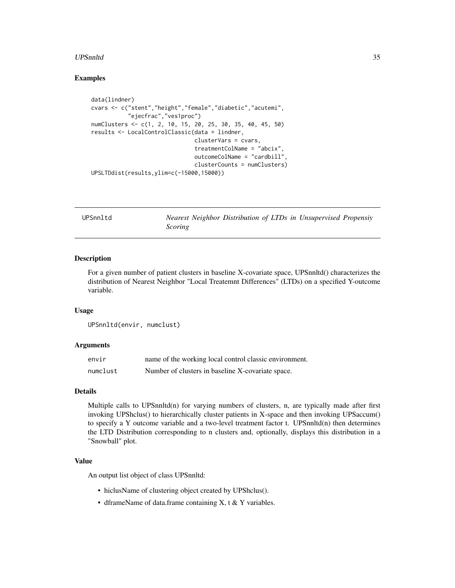#### <span id="page-34-0"></span>UPSnnltd 35

#### Examples

```
data(lindner)
cvars <- c("stent","height","female","diabetic","acutemi",
           "ejecfrac","ves1proc")
numClusters <- c(1, 2, 10, 15, 20, 25, 30, 35, 40, 45, 50)
results <- LocalControlClassic(data = lindner,
                               clusterVars = cvars,
                               treatmentColName = "abcix",
                               outcomeColName = "cardbill",
                               clusterCounts = numClusters)
UPSLTDdist(results,ylim=c(-15000,15000))
```
<span id="page-34-1"></span>UPSnnltd *Nearest Neighbor Distribution of LTDs in Unsupervised Propensiy Scoring*

#### Description

For a given number of patient clusters in baseline X-covariate space, UPSnnltd() characterizes the distribution of Nearest Neighbor "Local Treatemnt Differences" (LTDs) on a specified Y-outcome variable.

#### Usage

```
UPSnnltd(envir, numclust)
```
#### Arguments

| envir    | name of the working local control classic environment. |
|----------|--------------------------------------------------------|
| numclust | Number of clusters in baseline X-covariate space.      |

### Details

Multiple calls to UPSnnltd $(n)$  for varying numbers of clusters, n, are typically made after first invoking UPShclus() to hierarchically cluster patients in X-space and then invoking UPSaccum() to specify a Y outcome variable and a two-level treatment factor t. UPSnnltd(n) then determines the LTD Distribution corresponding to n clusters and, optionally, displays this distribution in a "Snowball" plot.

# Value

An output list object of class UPSnnltd:

- hiclusName of clustering object created by UPShclus().
- dframeName of data.frame containing X, t & Y variables.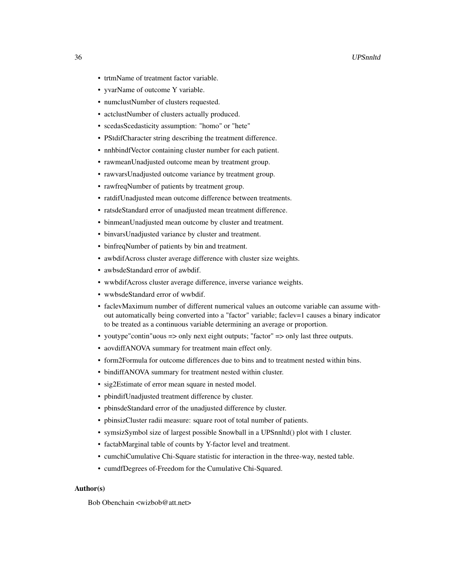- trtmName of treatment factor variable.
- yvarName of outcome Y variable.
- numclustNumber of clusters requested.
- actclustNumber of clusters actually produced.
- scedasScedasticity assumption: "homo" or "hete"
- PStdifCharacter string describing the treatment difference.
- nnhbindfVector containing cluster number for each patient.
- rawmeanUnadjusted outcome mean by treatment group.
- rawvarsUnadjusted outcome variance by treatment group.
- rawfreqNumber of patients by treatment group.
- ratdifUnadjusted mean outcome difference between treatments.
- ratsdeStandard error of unadjusted mean treatment difference.
- binmeanUnadjusted mean outcome by cluster and treatment.
- binvarsUnadjusted variance by cluster and treatment.
- binfreqNumber of patients by bin and treatment.
- awbdifAcross cluster average difference with cluster size weights.
- awbsdeStandard error of awbdif.
- wwbdifAcross cluster average difference, inverse variance weights.
- wwbsdeStandard error of wwbdif.
- faclevMaximum number of different numerical values an outcome variable can assume without automatically being converted into a "factor" variable; faclev=1 causes a binary indicator to be treated as a continuous variable determining an average or proportion.
- youtype" contin" uous => only next eight outputs; "factor" => only last three outputs.
- aovdiffANOVA summary for treatment main effect only.
- form2Formula for outcome differences due to bins and to treatment nested within bins.
- bindiffANOVA summary for treatment nested within cluster.
- sig2Estimate of error mean square in nested model.
- pbindifUnadjusted treatment difference by cluster.
- pbinsdeStandard error of the unadjusted difference by cluster.
- pbinsizCluster radii measure: square root of total number of patients.
- symsizSymbol size of largest possible Snowball in a UPSnnltd() plot with 1 cluster.
- factabMarginal table of counts by Y-factor level and treatment.
- cumchiCumulative Chi-Square statistic for interaction in the three-way, nested table.
- cumdfDegrees of-Freedom for the Cumulative Chi-Squared.

#### Author(s)

Bob Obenchain <wizbob@att.net>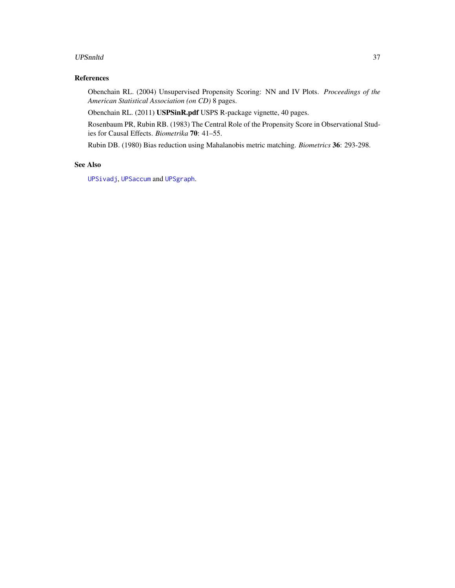#### <span id="page-36-0"></span>UPSnnltd 37

# References

Obenchain RL. (2004) Unsupervised Propensity Scoring: NN and IV Plots. *Proceedings of the American Statistical Association (on CD)* 8 pages.

Obenchain RL. (2011) USPSinR.pdf USPS R-package vignette, 40 pages.

Rosenbaum PR, Rubin RB. (1983) The Central Role of the Propensity Score in Observational Studies for Causal Effects. *Biometrika* 70: 41–55.

Rubin DB. (1980) Bias reduction using Mahalanobis metric matching. *Biometrics* 36: 293-298.

# See Also

[UPSivadj](#page-31-1), [UPSaccum](#page-24-1) and [UPSgraph](#page-29-1).